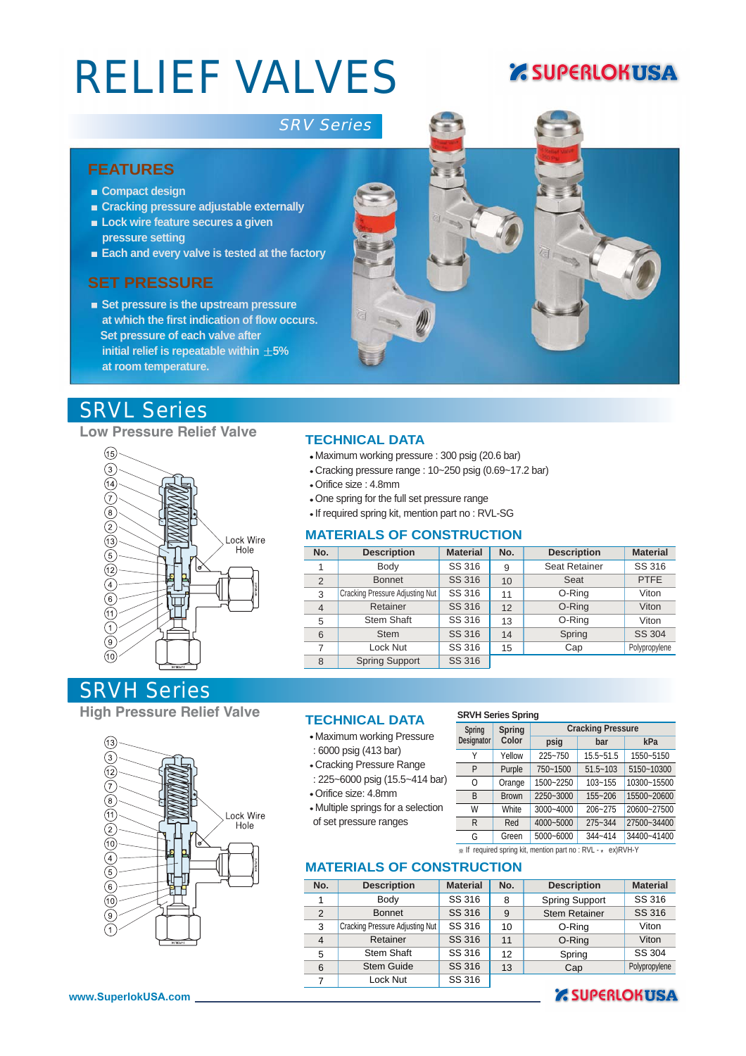# RELIEF VALVES

### **Z SUPERLOKUSA**

#### SRV Series

#### **FEATURES**

- **Compact design**
- **Cracking pressure adjustable externally**
- **Lock wire feature secures a given pressure setting**
- **Each and every valve is tested at the factory**

#### **SET PRESSURE**

**Set pressure is the upstream pressure at which the first indication of flow occurs. Set pressure of each valve after initial relief is repeatable within**  $\pm 5\%$ **at room temperature.**

#### SRVL Series

#### **Low Pressure Relief Valve**



#### **TECHNICAL DATA**

- Maximum working pressure : 300 psig (20.6 bar)
- Cracking pressure range : 10~250 psig (0.69~17.2 bar)
- Orifice size : 4.8mm
- One spring for the full set pressure range
- If required spring kit, mention part no : RVL-SG

#### **MATERIALS OF CONSTRUCTION**

| No.            | <b>Description</b>              | <b>Material</b> | No. | <b>Description</b>   | <b>Material</b> |
|----------------|---------------------------------|-----------------|-----|----------------------|-----------------|
|                | Body                            | SS 316          | 9   | <b>Seat Retainer</b> | SS 316          |
| 2              | <b>Bonnet</b>                   | SS 316          | 10  | Seat                 | <b>PTFE</b>     |
| 3              | Cracking Pressure Adjusting Nut | SS 316          | 11  | O-Ring               | Viton           |
| $\overline{4}$ | Retainer                        | SS 316          | 12  | O-Ring               | Viton           |
| 5              | <b>Stem Shaft</b>               | SS 316          | 13  | O-Ring               | Viton           |
| 6              | <b>Stem</b>                     | SS 316          | 14  | Spring               | SS 304          |
| 7              | Lock Nut                        | SS 316          | 15  | Cap                  | Polypropylene   |
| 8              | <b>Spring Support</b>           | SS 316          |     |                      |                 |

#### SRVH Series

**High Pressure Relief Valve TECHNICAL DATA**



- Maximum working Pressure : 6000 psig (413 bar)
- Cracking Pressure Range
- : 225~6000 psig (15.5~414 bar) Orifice size: 4.8mm
- Multiple springs for a selection of set pressure ranges

#### **SRVH Series Spring**

| Spring     | <b>Spring</b> | <b>Cracking Pressure</b> |              |             |  |  |  |
|------------|---------------|--------------------------|--------------|-------------|--|--|--|
| Designator | Color         | psig                     | bar          | kPa         |  |  |  |
| Υ          | Yellow        | 225~750                  | 15.5~51.5    | 1550~5150   |  |  |  |
| P          | Purple        | 750~1500                 | $51.5 - 103$ | 5150~10300  |  |  |  |
| 0          | Orange        | 1500~2250                | $103 - 155$  | 10300~15500 |  |  |  |
| B          | <b>Brown</b>  | 2250~3000                | 155~206      | 15500~20600 |  |  |  |
| W          | White         | 3000~4000                | 206~275      | 20600~27500 |  |  |  |
| R          | Red           | 4000~5000                | 275~344      | 27500~34400 |  |  |  |
| G          | Green         | 5000~6000                | 344~414      | 34400~41400 |  |  |  |

\* If required spring kit, mention part no : RVL - \* ex)RVH-Y

#### **MATERIALS OF CONSTRUCTION**

| No.            | <b>Description</b>              | <b>Material</b> | No. | <b>Description</b>    | <b>Material</b> |
|----------------|---------------------------------|-----------------|-----|-----------------------|-----------------|
|                | Body                            | SS 316          | 8   | <b>Spring Support</b> | SS 316          |
| 2              | <b>Bonnet</b>                   | SS 316          | 9   | <b>Stem Retainer</b>  | SS 316          |
| 3              | Cracking Pressure Adjusting Nut | SS 316          | 10  | O-Ring                | Viton           |
| $\overline{4}$ | Retainer                        | SS 316          | 11  | O-Ring                | Viton           |
| 5              | <b>Stem Shaft</b>               | SS 316          | 12  | Spring                | SS 304          |
| 6              | <b>Stem Guide</b>               | SS 316          | 13  | Cap                   | Polypropylene   |
| 7              | Lock Nut                        | SS 316          |     |                       |                 |

#### **Z SUPERLOKUSA**